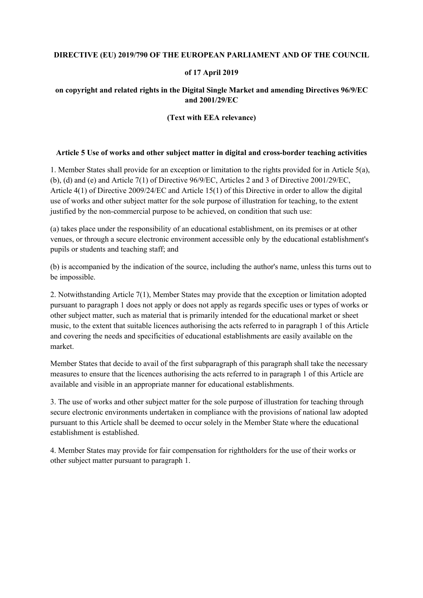### **DIRECTIVE (EU) 2019/790 OF THE EUROPEAN PARLIAMENT AND OF THE COUNCIL**

#### **of 17 April 2019**

## **on copyright and related rights in the Digital Single Market and amending Directives 96/9/EC and 2001/29/EC**

#### **(Text with EEA relevance)**

#### **Article 5 Use of works and other subject matter in digital and cross-border teaching activities**

1. Member States shall provide for an exception or limitation to the rights provided for in Article 5(a), (b), (d) and (e) and Article 7(1) of Directive  $96/9$ /EC, Articles 2 and 3 of Directive 2001/29/EC, Article 4(1) of Directive 2009/24/EC and Article 15(1) of this Directive in order to allow the digital use of works and other subject matter for the sole purpose of illustration for teaching, to the extent justified by the non-commercial purpose to be achieved, on condition that such use:

(a) takes place under the responsibility of an educational establishment, on its premises or at other venues, or through a secure electronic environment accessible only by the educational establishment's pupils or students and teaching staff; and

(b) is accompanied by the indication of the source, including the author's name, unless this turns out to be impossible.

2. Notwithstanding Article 7(1), Member States may provide that the exception or limitation adopted pursuant to paragraph 1 does not apply or does not apply as regards specific uses or types of works or other subject matter, such as material that is primarily intended for the educational market or sheet music, to the extent that suitable licences authorising the acts referred to in paragraph 1 of this Article and covering the needs and specificities of educational establishments are easily available on the market.

Member States that decide to avail of the first subparagraph of this paragraph shall take the necessary measures to ensure that the licences authorising the acts referred to in paragraph 1 of this Article are available and visible in an appropriate manner for educational establishments.

3. The use of works and other subject matter for the sole purpose of illustration for teaching through secure electronic environments undertaken in compliance with the provisions of national law adopted pursuant to this Article shall be deemed to occur solely in the Member State where the educational establishment is established.

4. Member States may provide for fair compensation for rightholders for the use of their works or other subject matter pursuant to paragraph 1.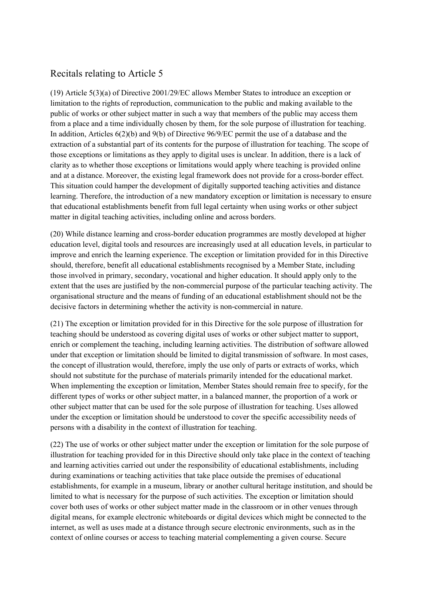# Recitals relating to Article 5

(19) Article 5(3)(a) of Directive 2001/29/EC allows Member States to introduce an exception or limitation to the rights of reproduction, communication to the public and making available to the public of works or other subject matter in such a way that members of the public may access them from a place and a time individually chosen by them, for the sole purpose of illustration for teaching. In addition, Articles 6(2)(b) and 9(b) of Directive 96/9/EC permit the use of a database and the extraction of a substantial part of its contents for the purpose of illustration for teaching. The scope of those exceptions or limitations as they apply to digital uses is unclear. In addition, there is a lack of clarity as to whether those exceptions or limitations would apply where teaching is provided online and at a distance. Moreover, the existing legal framework does not provide for a cross-border effect. This situation could hamper the development of digitally supported teaching activities and distance learning. Therefore, the introduction of a new mandatory exception or limitation is necessary to ensure that educational establishments benefit from full legal certainty when using works or other subject matter in digital teaching activities, including online and across borders.

(20) While distance learning and cross-border education programmes are mostly developed at higher education level, digital tools and resources are increasingly used at all education levels, in particular to improve and enrich the learning experience. The exception or limitation provided for in this Directive should, therefore, benefit all educational establishments recognised by a Member State, including those involved in primary, secondary, vocational and higher education. It should apply only to the extent that the uses are justified by the non-commercial purpose of the particular teaching activity. The organisational structure and the means of funding of an educational establishment should not be the decisive factors in determining whether the activity is non-commercial in nature.

(21) The exception or limitation provided for in this Directive for the sole purpose of illustration for teaching should be understood as covering digital uses of works or other subject matter to support, enrich or complement the teaching, including learning activities. The distribution of software allowed under that exception or limitation should be limited to digital transmission of software. In most cases, the concept of illustration would, therefore, imply the use only of parts or extracts of works, which should not substitute for the purchase of materials primarily intended for the educational market. When implementing the exception or limitation, Member States should remain free to specify, for the different types of works or other subject matter, in a balanced manner, the proportion of a work or other subject matter that can be used for the sole purpose of illustration for teaching. Uses allowed under the exception or limitation should be understood to cover the specific accessibility needs of persons with a disability in the context of illustration for teaching.

(22) The use of works or other subject matter under the exception or limitation for the sole purpose of illustration for teaching provided for in this Directive should only take place in the context of teaching and learning activities carried out under the responsibility of educational establishments, including during examinations or teaching activities that take place outside the premises of educational establishments, for example in a museum, library or another cultural heritage institution, and should be limited to what is necessary for the purpose of such activities. The exception or limitation should cover both uses of works or other subject matter made in the classroom or in other venues through digital means, for example electronic whiteboards or digital devices which might be connected to the internet, as well as uses made at a distance through secure electronic environments, such as in the context of online courses or access to teaching material complementing a given course. Secure